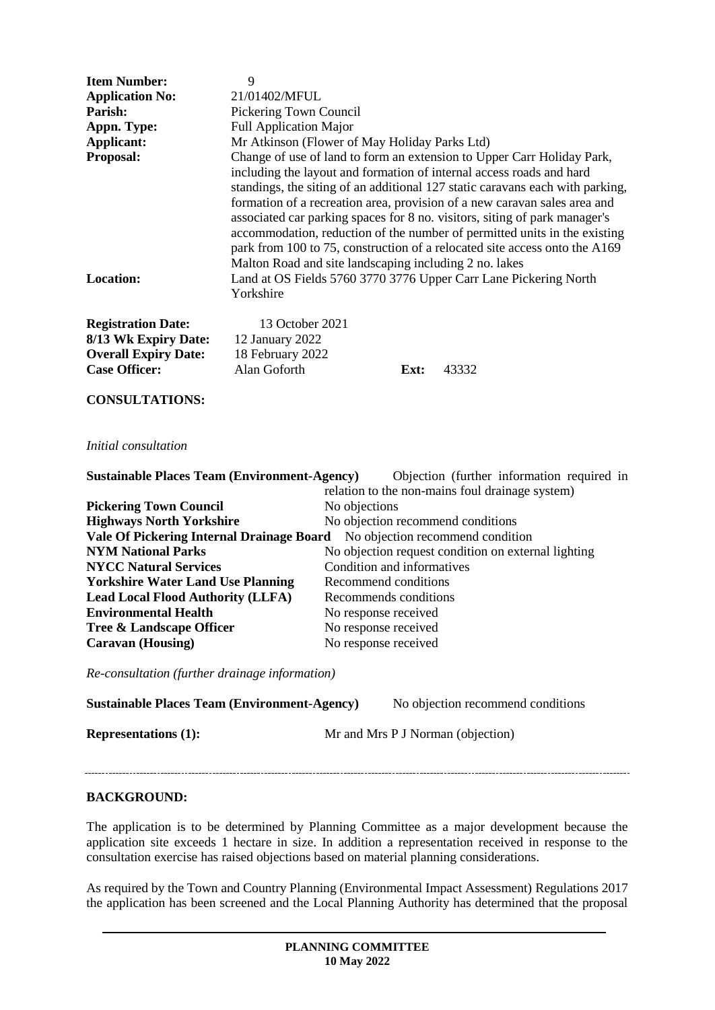| <b>Item Number:</b><br><b>Application No:</b><br>Parish:<br>Appn. Type:<br><b>Applicant:</b><br>Proposal:<br><b>Location:</b>     | 9<br>21/01402/MFUL<br>Pickering Town Council<br><b>Full Application Major</b><br>Mr Atkinson (Flower of May Holiday Parks Ltd)<br>Change of use of land to form an extension to Upper Carr Holiday Park,<br>including the layout and formation of internal access roads and hard<br>standings, the siting of an additional 127 static caravans each with parking,<br>formation of a recreation area, provision of a new caravan sales area and<br>associated car parking spaces for 8 no. visitors, siting of park manager's<br>accommodation, reduction of the number of permitted units in the existing<br>park from 100 to 75, construction of a relocated site access onto the A169<br>Malton Road and site landscaping including 2 no. lakes<br>Land at OS Fields 5760 3770 3776 Upper Carr Lane Pickering North<br>Yorkshire |       |  |  |
|-----------------------------------------------------------------------------------------------------------------------------------|------------------------------------------------------------------------------------------------------------------------------------------------------------------------------------------------------------------------------------------------------------------------------------------------------------------------------------------------------------------------------------------------------------------------------------------------------------------------------------------------------------------------------------------------------------------------------------------------------------------------------------------------------------------------------------------------------------------------------------------------------------------------------------------------------------------------------------|-------|--|--|
| <b>Registration Date:</b><br>8/13 Wk Expiry Date:<br><b>Overall Expiry Date:</b><br><b>Case Officer:</b><br><b>CONSULTATIONS:</b> | 13 October 2021<br>12 January 2022<br>18 February 2022<br>Alan Goforth<br>Ext:                                                                                                                                                                                                                                                                                                                                                                                                                                                                                                                                                                                                                                                                                                                                                     | 43332 |  |  |
| Initial consultation                                                                                                              |                                                                                                                                                                                                                                                                                                                                                                                                                                                                                                                                                                                                                                                                                                                                                                                                                                    |       |  |  |
| <b>Sustainable Places Team (Environment-Agency)</b><br>Objection (further information required in                                 |                                                                                                                                                                                                                                                                                                                                                                                                                                                                                                                                                                                                                                                                                                                                                                                                                                    |       |  |  |
| relation to the non-mains foul drainage system)<br><b>Pickering Town Council</b><br>No objections                                 |                                                                                                                                                                                                                                                                                                                                                                                                                                                                                                                                                                                                                                                                                                                                                                                                                                    |       |  |  |
| <b>Highways North Yorkshire</b>                                                                                                   | No objection recommend conditions                                                                                                                                                                                                                                                                                                                                                                                                                                                                                                                                                                                                                                                                                                                                                                                                  |       |  |  |
| Vale Of Pickering Internal Drainage Board<br>No objection recommend condition                                                     |                                                                                                                                                                                                                                                                                                                                                                                                                                                                                                                                                                                                                                                                                                                                                                                                                                    |       |  |  |
|                                                                                                                                   |                                                                                                                                                                                                                                                                                                                                                                                                                                                                                                                                                                                                                                                                                                                                                                                                                                    |       |  |  |

**NYM National Parks** No objection request condition on external lighting **NYCC Natural Services**<br> **NYCC Natural Services**<br> **Norkshire Water Land Use Planning**<br>
Recommend conditions **Yorkshire Water Land Use Planning Recommend conditions<br>
<b>Lead Local Flood Authority (LLFA)** Recommends conditions **Lead Local Flood Authority (LLFA) Environmental Health** No response received **Tree & Landscape Officer** No response received **Caravan (Housing)** No response received

*Re-consultation (further drainage information)*

| <b>Sustainable Places Team (Environment-Agency)</b> | No objection recommend conditions |
|-----------------------------------------------------|-----------------------------------|
| <b>Representations (1):</b>                         | Mr and Mrs P J Norman (objection) |

### **BACKGROUND:**

The application is to be determined by Planning Committee as a major development because the application site exceeds 1 hectare in size. In addition a representation received in response to the consultation exercise has raised objections based on material planning considerations.

As required by the Town and Country Planning (Environmental Impact Assessment) Regulations 2017 the application has been screened and the Local Planning Authority has determined that the proposal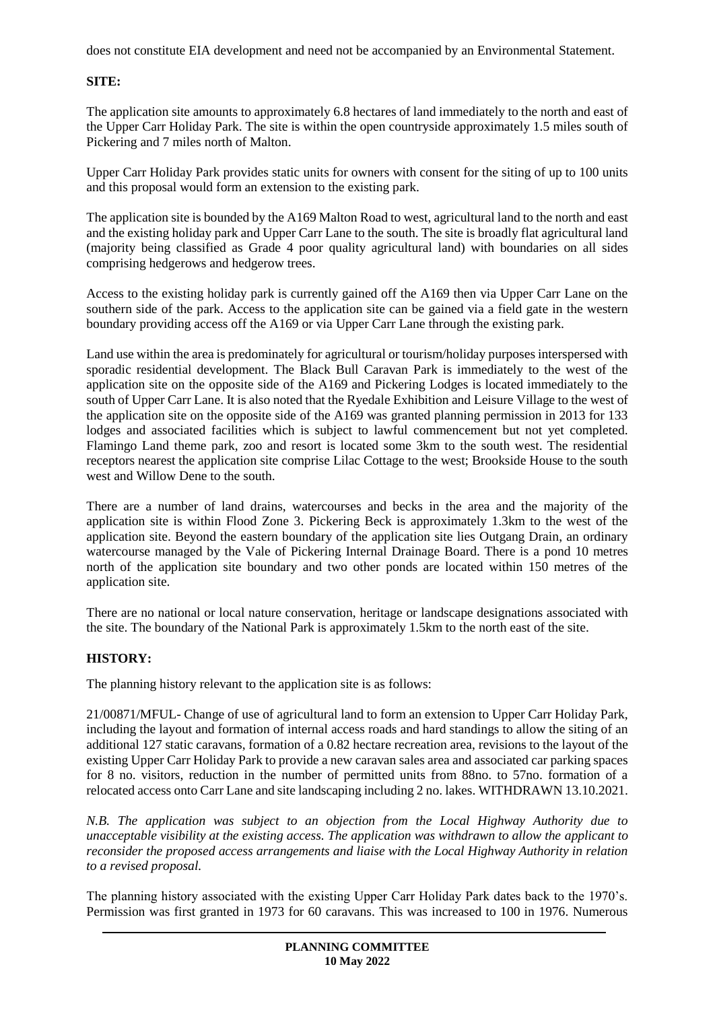does not constitute EIA development and need not be accompanied by an Environmental Statement.

# **SITE:**

The application site amounts to approximately 6.8 hectares of land immediately to the north and east of the Upper Carr Holiday Park. The site is within the open countryside approximately 1.5 miles south of Pickering and 7 miles north of Malton.

Upper Carr Holiday Park provides static units for owners with consent for the siting of up to 100 units and this proposal would form an extension to the existing park.

The application site is bounded by the A169 Malton Road to west, agricultural land to the north and east and the existing holiday park and Upper Carr Lane to the south. The site is broadly flat agricultural land (majority being classified as Grade 4 poor quality agricultural land) with boundaries on all sides comprising hedgerows and hedgerow trees.

Access to the existing holiday park is currently gained off the A169 then via Upper Carr Lane on the southern side of the park. Access to the application site can be gained via a field gate in the western boundary providing access off the A169 or via Upper Carr Lane through the existing park.

Land use within the area is predominately for agricultural or tourism/holiday purposes interspersed with sporadic residential development. The Black Bull Caravan Park is immediately to the west of the application site on the opposite side of the A169 and Pickering Lodges is located immediately to the south of Upper Carr Lane. It is also noted that the Ryedale Exhibition and Leisure Village to the west of the application site on the opposite side of the A169 was granted planning permission in 2013 for 133 lodges and associated facilities which is subject to lawful commencement but not yet completed. Flamingo Land theme park, zoo and resort is located some 3km to the south west. The residential receptors nearest the application site comprise Lilac Cottage to the west; Brookside House to the south west and Willow Dene to the south.

There are a number of land drains, watercourses and becks in the area and the majority of the application site is within Flood Zone 3. Pickering Beck is approximately 1.3km to the west of the application site. Beyond the eastern boundary of the application site lies Outgang Drain, an ordinary watercourse managed by the Vale of Pickering Internal Drainage Board. There is a pond 10 metres north of the application site boundary and two other ponds are located within 150 metres of the application site.

There are no national or local nature conservation, heritage or landscape designations associated with the site. The boundary of the National Park is approximately 1.5km to the north east of the site.

# **HISTORY:**

The planning history relevant to the application site is as follows:

21/00871/MFUL- Change of use of agricultural land to form an extension to Upper Carr Holiday Park, including the layout and formation of internal access roads and hard standings to allow the siting of an additional 127 static caravans, formation of a 0.82 hectare recreation area, revisions to the layout of the existing Upper Carr Holiday Park to provide a new caravan sales area and associated car parking spaces for 8 no. visitors, reduction in the number of permitted units from 88no. to 57no. formation of a relocated access onto Carr Lane and site landscaping including 2 no. lakes. WITHDRAWN 13.10.2021.

*N.B. The application was subject to an objection from the Local Highway Authority due to unacceptable visibility at the existing access. The application was withdrawn to allow the applicant to reconsider the proposed access arrangements and liaise with the Local Highway Authority in relation to a revised proposal.* 

The planning history associated with the existing Upper Carr Holiday Park dates back to the 1970's. Permission was first granted in 1973 for 60 caravans. This was increased to 100 in 1976. Numerous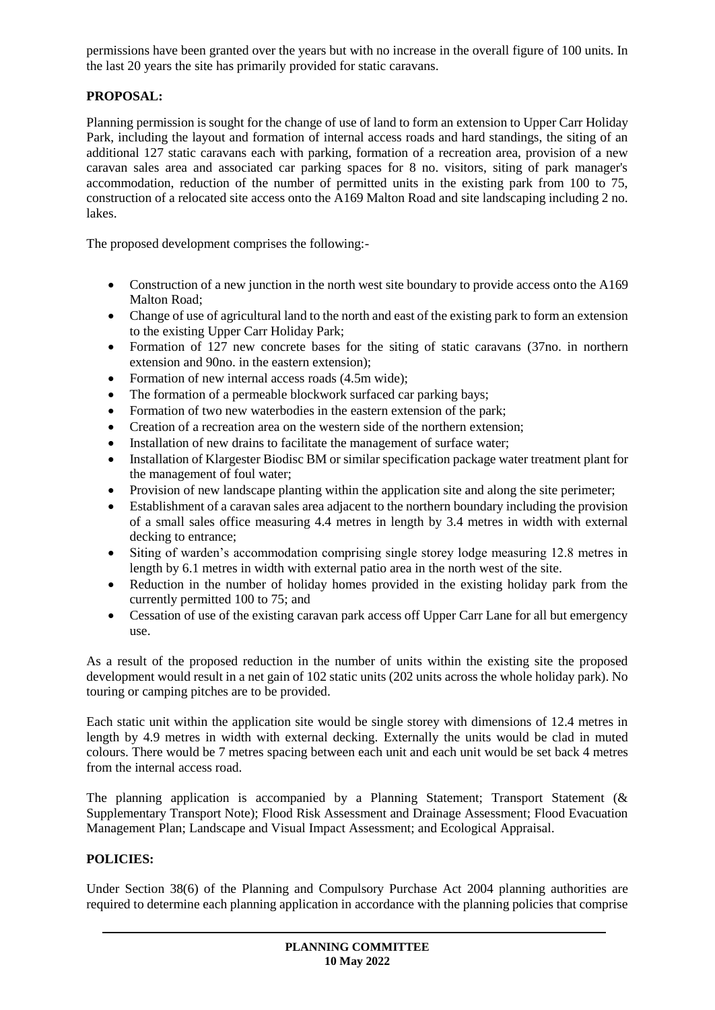permissions have been granted over the years but with no increase in the overall figure of 100 units. In the last 20 years the site has primarily provided for static caravans.

# **PROPOSAL:**

Planning permission is sought for the change of use of land to form an extension to Upper Carr Holiday Park, including the layout and formation of internal access roads and hard standings, the siting of an additional 127 static caravans each with parking, formation of a recreation area, provision of a new caravan sales area and associated car parking spaces for 8 no. visitors, siting of park manager's accommodation, reduction of the number of permitted units in the existing park from 100 to 75, construction of a relocated site access onto the A169 Malton Road and site landscaping including 2 no. lakes.

The proposed development comprises the following:-

- Construction of a new junction in the north west site boundary to provide access onto the A169 Malton Road;
- Change of use of agricultural land to the north and east of the existing park to form an extension to the existing Upper Carr Holiday Park;
- Formation of 127 new concrete bases for the siting of static caravans (37no. in northern extension and 90no. in the eastern extension);
- Formation of new internal access roads (4.5m wide);
- The formation of a permeable blockwork surfaced car parking bays;
- Formation of two new waterbodies in the eastern extension of the park:
- Creation of a recreation area on the western side of the northern extension;
- Installation of new drains to facilitate the management of surface water;
- Installation of Klargester Biodisc BM or similar specification package water treatment plant for the management of foul water;
- Provision of new landscape planting within the application site and along the site perimeter;
- Establishment of a caravan sales area adjacent to the northern boundary including the provision of a small sales office measuring 4.4 metres in length by 3.4 metres in width with external decking to entrance;
- Siting of warden's accommodation comprising single storey lodge measuring 12.8 metres in length by 6.1 metres in width with external patio area in the north west of the site.
- Reduction in the number of holiday homes provided in the existing holiday park from the currently permitted 100 to 75; and
- Cessation of use of the existing caravan park access off Upper Carr Lane for all but emergency use.

As a result of the proposed reduction in the number of units within the existing site the proposed development would result in a net gain of 102 static units (202 units across the whole holiday park). No touring or camping pitches are to be provided.

Each static unit within the application site would be single storey with dimensions of 12.4 metres in length by 4.9 metres in width with external decking. Externally the units would be clad in muted colours. There would be 7 metres spacing between each unit and each unit would be set back 4 metres from the internal access road.

The planning application is accompanied by a Planning Statement; Transport Statement (& Supplementary Transport Note); Flood Risk Assessment and Drainage Assessment; Flood Evacuation Management Plan; Landscape and Visual Impact Assessment; and Ecological Appraisal.

## **POLICIES:**

Under Section 38(6) of the Planning and Compulsory Purchase Act 2004 planning authorities are required to determine each planning application in accordance with the planning policies that comprise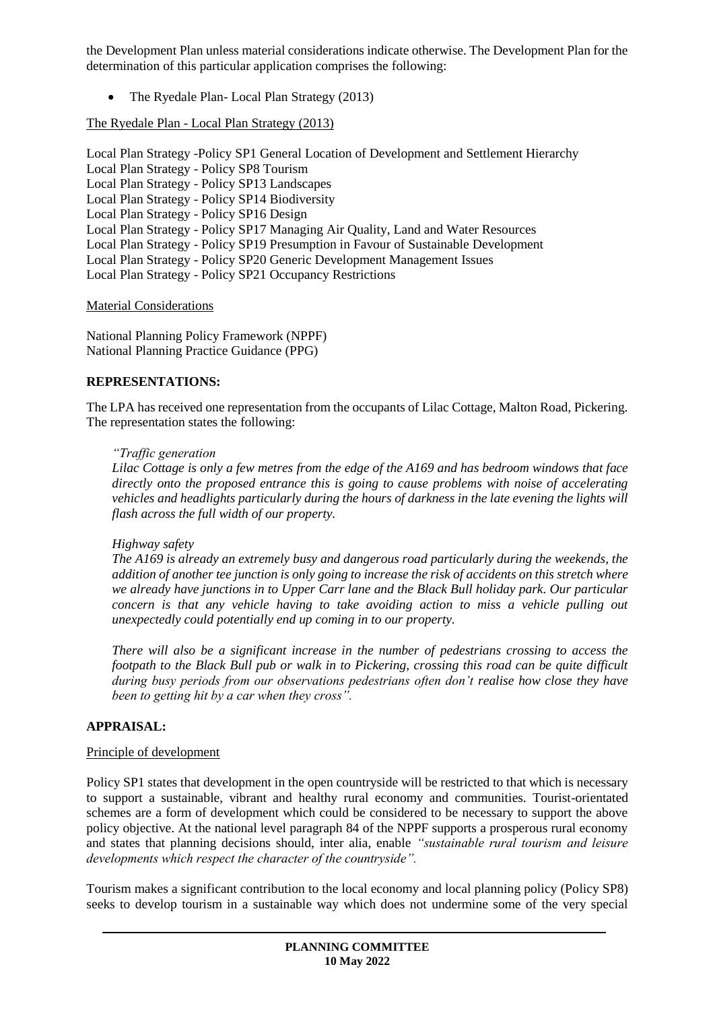the Development Plan unless material considerations indicate otherwise. The Development Plan for the determination of this particular application comprises the following:

• The Ryedale Plan- Local Plan Strategy (2013)

### The Ryedale Plan - Local Plan Strategy (2013)

Local Plan Strategy -Policy SP1 General Location of Development and Settlement Hierarchy Local Plan Strategy - Policy SP8 Tourism Local Plan Strategy - Policy SP13 Landscapes Local Plan Strategy - Policy SP14 Biodiversity Local Plan Strategy - Policy SP16 Design Local Plan Strategy - Policy SP17 Managing Air Quality, Land and Water Resources Local Plan Strategy - Policy SP19 Presumption in Favour of Sustainable Development Local Plan Strategy - Policy SP20 Generic Development Management Issues Local Plan Strategy - Policy SP21 Occupancy Restrictions

Material Considerations

National Planning Policy Framework (NPPF) National Planning Practice Guidance (PPG)

## **REPRESENTATIONS:**

The LPA has received one representation from the occupants of Lilac Cottage, Malton Road, Pickering. The representation states the following:

### *"Traffic generation*

*Lilac Cottage is only a few metres from the edge of the A169 and has bedroom windows that face directly onto the proposed entrance this is going to cause problems with noise of accelerating vehicles and headlights particularly during the hours of darkness in the late evening the lights will flash across the full width of our property.*

### *Highway safety*

*The A169 is already an extremely busy and dangerous road particularly during the weekends, the addition of another tee junction is only going to increase the risk of accidents on this stretch where we already have junctions in to Upper Carr lane and the Black Bull holiday park. Our particular concern is that any vehicle having to take avoiding action to miss a vehicle pulling out unexpectedly could potentially end up coming in to our property.*

*There will also be a significant increase in the number of pedestrians crossing to access the footpath to the Black Bull pub or walk in to Pickering, crossing this road can be quite difficult during busy periods from our observations pedestrians often don't realise how close they have been to getting hit by a car when they cross".*

### **APPRAISAL:**

### Principle of development

Policy SP1 states that development in the open countryside will be restricted to that which is necessary to support a sustainable, vibrant and healthy rural economy and communities. Tourist-orientated schemes are a form of development which could be considered to be necessary to support the above policy objective. At the national level paragraph 84 of the NPPF supports a prosperous rural economy and states that planning decisions should, inter alia, enable *"sustainable rural tourism and leisure developments which respect the character of the countryside".*

Tourism makes a significant contribution to the local economy and local planning policy (Policy SP8) seeks to develop tourism in a sustainable way which does not undermine some of the very special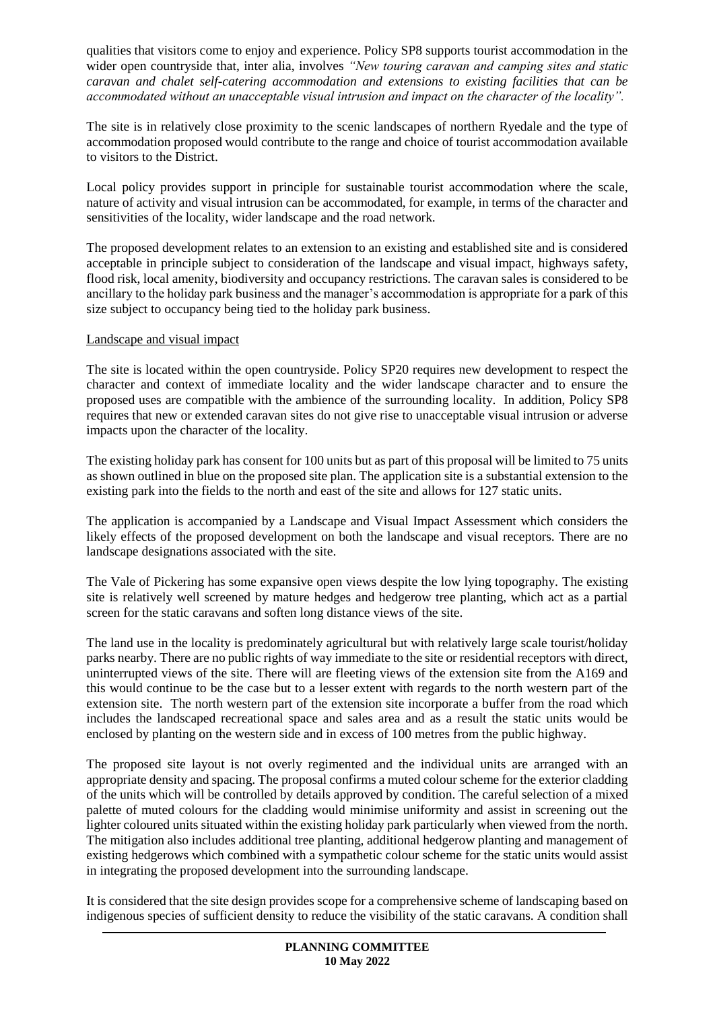qualities that visitors come to enjoy and experience. Policy SP8 supports tourist accommodation in the wider open countryside that, inter alia, involves *"New touring caravan and camping sites and static caravan and chalet self-catering accommodation and extensions to existing facilities that can be accommodated without an unacceptable visual intrusion and impact on the character of the locality".*

The site is in relatively close proximity to the scenic landscapes of northern Ryedale and the type of accommodation proposed would contribute to the range and choice of tourist accommodation available to visitors to the District.

Local policy provides support in principle for sustainable tourist accommodation where the scale, nature of activity and visual intrusion can be accommodated, for example, in terms of the character and sensitivities of the locality, wider landscape and the road network.

The proposed development relates to an extension to an existing and established site and is considered acceptable in principle subject to consideration of the landscape and visual impact, highways safety, flood risk, local amenity, biodiversity and occupancy restrictions. The caravan sales is considered to be ancillary to the holiday park business and the manager's accommodation is appropriate for a park of this size subject to occupancy being tied to the holiday park business.

### Landscape and visual impact

The site is located within the open countryside. Policy SP20 requires new development to respect the character and context of immediate locality and the wider landscape character and to ensure the proposed uses are compatible with the ambience of the surrounding locality. In addition, Policy SP8 requires that new or extended caravan sites do not give rise to unacceptable visual intrusion or adverse impacts upon the character of the locality.

The existing holiday park has consent for 100 units but as part of this proposal will be limited to 75 units as shown outlined in blue on the proposed site plan. The application site is a substantial extension to the existing park into the fields to the north and east of the site and allows for 127 static units.

The application is accompanied by a Landscape and Visual Impact Assessment which considers the likely effects of the proposed development on both the landscape and visual receptors. There are no landscape designations associated with the site.

The Vale of Pickering has some expansive open views despite the low lying topography. The existing site is relatively well screened by mature hedges and hedgerow tree planting, which act as a partial screen for the static caravans and soften long distance views of the site.

The land use in the locality is predominately agricultural but with relatively large scale tourist/holiday parks nearby. There are no public rights of way immediate to the site or residential receptors with direct, uninterrupted views of the site. There will are fleeting views of the extension site from the A169 and this would continue to be the case but to a lesser extent with regards to the north western part of the extension site. The north western part of the extension site incorporate a buffer from the road which includes the landscaped recreational space and sales area and as a result the static units would be enclosed by planting on the western side and in excess of 100 metres from the public highway.

The proposed site layout is not overly regimented and the individual units are arranged with an appropriate density and spacing. The proposal confirms a muted colour scheme for the exterior cladding of the units which will be controlled by details approved by condition. The careful selection of a mixed palette of muted colours for the cladding would minimise uniformity and assist in screening out the lighter coloured units situated within the existing holiday park particularly when viewed from the north. The mitigation also includes additional tree planting, additional hedgerow planting and management of existing hedgerows which combined with a sympathetic colour scheme for the static units would assist in integrating the proposed development into the surrounding landscape.

It is considered that the site design provides scope for a comprehensive scheme of landscaping based on indigenous species of sufficient density to reduce the visibility of the static caravans. A condition shall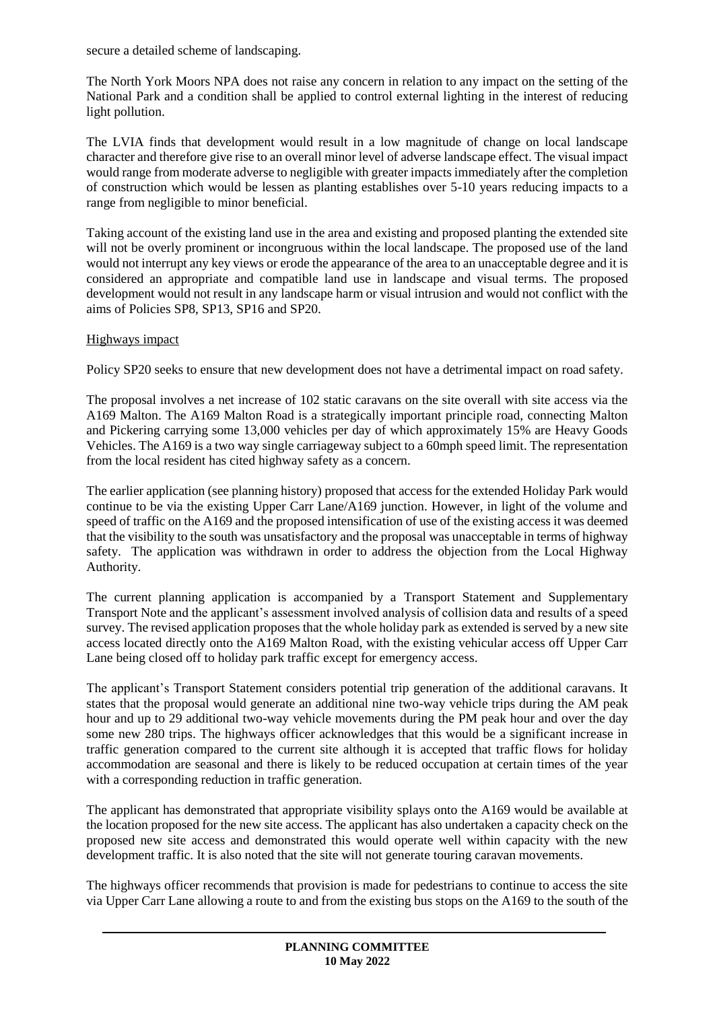secure a detailed scheme of landscaping.

The North York Moors NPA does not raise any concern in relation to any impact on the setting of the National Park and a condition shall be applied to control external lighting in the interest of reducing light pollution.

The LVIA finds that development would result in a low magnitude of change on local landscape character and therefore give rise to an overall minor level of adverse landscape effect. The visual impact would range from moderate adverse to negligible with greater impacts immediately after the completion of construction which would be lessen as planting establishes over 5-10 years reducing impacts to a range from negligible to minor beneficial.

Taking account of the existing land use in the area and existing and proposed planting the extended site will not be overly prominent or incongruous within the local landscape. The proposed use of the land would not interrupt any key views or erode the appearance of the area to an unacceptable degree and it is considered an appropriate and compatible land use in landscape and visual terms. The proposed development would not result in any landscape harm or visual intrusion and would not conflict with the aims of Policies SP8, SP13, SP16 and SP20.

# Highways impact

Policy SP20 seeks to ensure that new development does not have a detrimental impact on road safety.

The proposal involves a net increase of 102 static caravans on the site overall with site access via the A169 Malton. The A169 Malton Road is a strategically important principle road, connecting Malton and Pickering carrying some 13,000 vehicles per day of which approximately 15% are Heavy Goods Vehicles. The A169 is a two way single carriageway subject to a 60mph speed limit. The representation from the local resident has cited highway safety as a concern.

The earlier application (see planning history) proposed that access for the extended Holiday Park would continue to be via the existing Upper Carr Lane/A169 junction. However, in light of the volume and speed of traffic on the A169 and the proposed intensification of use of the existing access it was deemed that the visibility to the south was unsatisfactory and the proposal was unacceptable in terms of highway safety. The application was withdrawn in order to address the objection from the Local Highway Authority.

The current planning application is accompanied by a Transport Statement and Supplementary Transport Note and the applicant's assessment involved analysis of collision data and results of a speed survey. The revised application proposes that the whole holiday park as extended is served by a new site access located directly onto the A169 Malton Road, with the existing vehicular access off Upper Carr Lane being closed off to holiday park traffic except for emergency access.

The applicant's Transport Statement considers potential trip generation of the additional caravans. It states that the proposal would generate an additional nine two-way vehicle trips during the AM peak hour and up to 29 additional two-way vehicle movements during the PM peak hour and over the day some new 280 trips. The highways officer acknowledges that this would be a significant increase in traffic generation compared to the current site although it is accepted that traffic flows for holiday accommodation are seasonal and there is likely to be reduced occupation at certain times of the year with a corresponding reduction in traffic generation.

The applicant has demonstrated that appropriate visibility splays onto the A169 would be available at the location proposed for the new site access. The applicant has also undertaken a capacity check on the proposed new site access and demonstrated this would operate well within capacity with the new development traffic. It is also noted that the site will not generate touring caravan movements.

The highways officer recommends that provision is made for pedestrians to continue to access the site via Upper Carr Lane allowing a route to and from the existing bus stops on the A169 to the south of the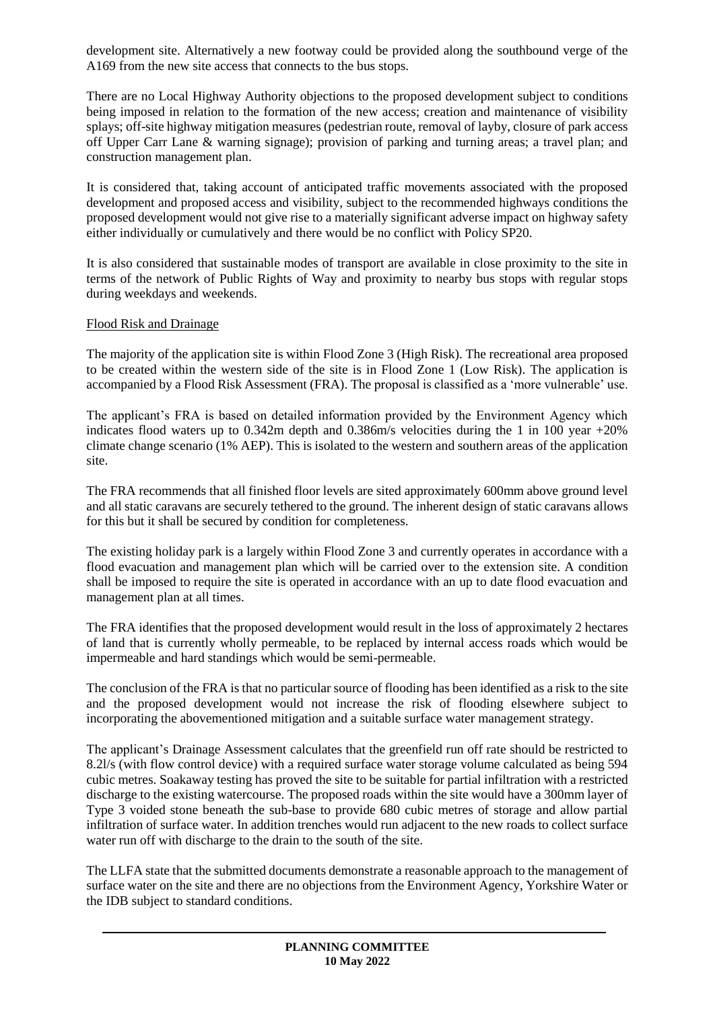development site. Alternatively a new footway could be provided along the southbound verge of the A169 from the new site access that connects to the bus stops.

There are no Local Highway Authority objections to the proposed development subject to conditions being imposed in relation to the formation of the new access; creation and maintenance of visibility splays; off-site highway mitigation measures (pedestrian route, removal of layby, closure of park access off Upper Carr Lane & warning signage); provision of parking and turning areas; a travel plan; and construction management plan.

It is considered that, taking account of anticipated traffic movements associated with the proposed development and proposed access and visibility, subject to the recommended highways conditions the proposed development would not give rise to a materially significant adverse impact on highway safety either individually or cumulatively and there would be no conflict with Policy SP20.

It is also considered that sustainable modes of transport are available in close proximity to the site in terms of the network of Public Rights of Way and proximity to nearby bus stops with regular stops during weekdays and weekends.

### Flood Risk and Drainage

The majority of the application site is within Flood Zone 3 (High Risk). The recreational area proposed to be created within the western side of the site is in Flood Zone 1 (Low Risk). The application is accompanied by a Flood Risk Assessment (FRA). The proposal is classified as a 'more vulnerable' use.

The applicant's FRA is based on detailed information provided by the Environment Agency which indicates flood waters up to  $0.342$ m depth and  $0.386$ m/s velocities during the 1 in 100 year  $+20\%$ climate change scenario (1% AEP). This is isolated to the western and southern areas of the application site.

The FRA recommends that all finished floor levels are sited approximately 600mm above ground level and all static caravans are securely tethered to the ground. The inherent design of static caravans allows for this but it shall be secured by condition for completeness.

The existing holiday park is a largely within Flood Zone 3 and currently operates in accordance with a flood evacuation and management plan which will be carried over to the extension site. A condition shall be imposed to require the site is operated in accordance with an up to date flood evacuation and management plan at all times.

The FRA identifies that the proposed development would result in the loss of approximately 2 hectares of land that is currently wholly permeable, to be replaced by internal access roads which would be impermeable and hard standings which would be semi-permeable.

The conclusion of the FRA is that no particular source of flooding has been identified as a risk to the site and the proposed development would not increase the risk of flooding elsewhere subject to incorporating the abovementioned mitigation and a suitable surface water management strategy.

The applicant's Drainage Assessment calculates that the greenfield run off rate should be restricted to 8.2l/s (with flow control device) with a required surface water storage volume calculated as being 594 cubic metres. Soakaway testing has proved the site to be suitable for partial infiltration with a restricted discharge to the existing watercourse. The proposed roads within the site would have a 300mm layer of Type 3 voided stone beneath the sub-base to provide 680 cubic metres of storage and allow partial infiltration of surface water. In addition trenches would run adjacent to the new roads to collect surface water run off with discharge to the drain to the south of the site.

The LLFA state that the submitted documents demonstrate a reasonable approach to the management of surface water on the site and there are no objections from the Environment Agency, Yorkshire Water or the IDB subject to standard conditions.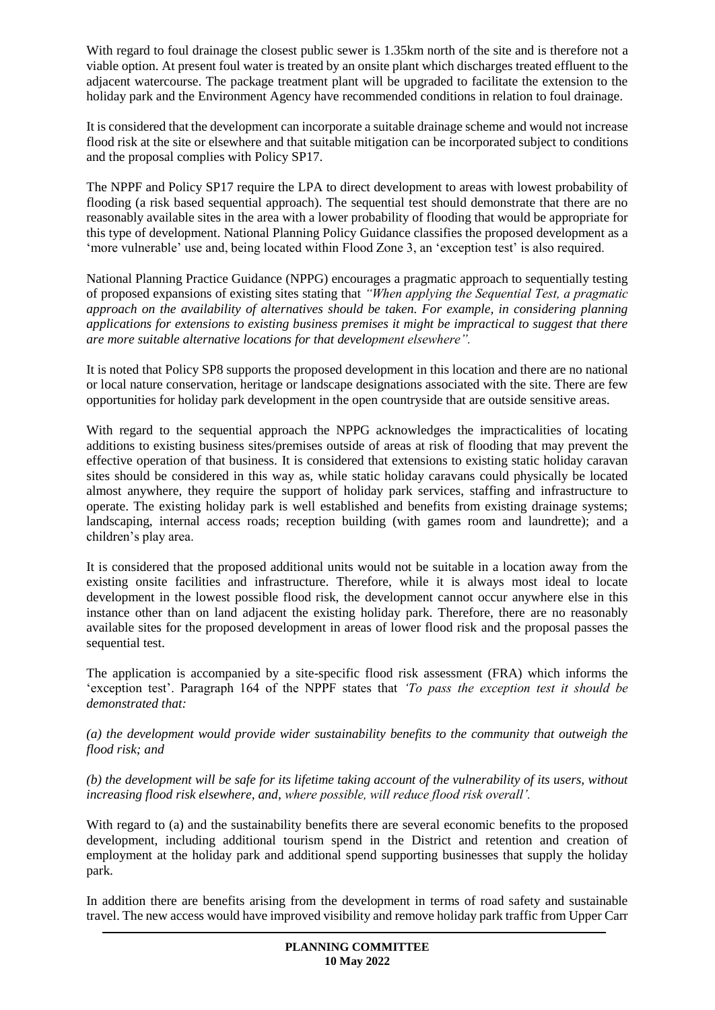With regard to foul drainage the closest public sewer is 1.35km north of the site and is therefore not a viable option. At present foul water is treated by an onsite plant which discharges treated effluent to the adjacent watercourse. The package treatment plant will be upgraded to facilitate the extension to the holiday park and the Environment Agency have recommended conditions in relation to foul drainage.

It is considered that the development can incorporate a suitable drainage scheme and would not increase flood risk at the site or elsewhere and that suitable mitigation can be incorporated subject to conditions and the proposal complies with Policy SP17.

The NPPF and Policy SP17 require the LPA to direct development to areas with lowest probability of flooding (a risk based sequential approach). The sequential test should demonstrate that there are no reasonably available sites in the area with a lower probability of flooding that would be appropriate for this type of development. National Planning Policy Guidance classifies the proposed development as a 'more vulnerable' use and, being located within Flood Zone 3, an 'exception test' is also required.

National Planning Practice Guidance (NPPG) encourages a pragmatic approach to sequentially testing of proposed expansions of existing sites stating that *"When applying the Sequential Test, a pragmatic approach on the availability of alternatives should be taken. For example, in considering planning applications for extensions to existing business premises it might be impractical to suggest that there are more suitable alternative locations for that development elsewhere".* 

It is noted that Policy SP8 supports the proposed development in this location and there are no national or local nature conservation, heritage or landscape designations associated with the site. There are few opportunities for holiday park development in the open countryside that are outside sensitive areas.

With regard to the sequential approach the NPPG acknowledges the impracticalities of locating additions to existing business sites/premises outside of areas at risk of flooding that may prevent the effective operation of that business. It is considered that extensions to existing static holiday caravan sites should be considered in this way as, while static holiday caravans could physically be located almost anywhere, they require the support of holiday park services, staffing and infrastructure to operate. The existing holiday park is well established and benefits from existing drainage systems; landscaping, internal access roads; reception building (with games room and laundrette); and a children's play area.

It is considered that the proposed additional units would not be suitable in a location away from the existing onsite facilities and infrastructure. Therefore, while it is always most ideal to locate development in the lowest possible flood risk, the development cannot occur anywhere else in this instance other than on land adjacent the existing holiday park. Therefore, there are no reasonably available sites for the proposed development in areas of lower flood risk and the proposal passes the sequential test.

The application is accompanied by a site-specific flood risk assessment (FRA) which informs the 'exception test'. Paragraph 164 of the NPPF states that *'To pass the exception test it should be demonstrated that:* 

*(a) the development would provide wider sustainability benefits to the community that outweigh the flood risk; and*

*(b) the development will be safe for its lifetime taking account of the vulnerability of its users, without increasing flood risk elsewhere, and, where possible, will reduce flood risk overall'.*

With regard to (a) and the sustainability benefits there are several economic benefits to the proposed development, including additional tourism spend in the District and retention and creation of employment at the holiday park and additional spend supporting businesses that supply the holiday park.

In addition there are benefits arising from the development in terms of road safety and sustainable travel. The new access would have improved visibility and remove holiday park traffic from Upper Carr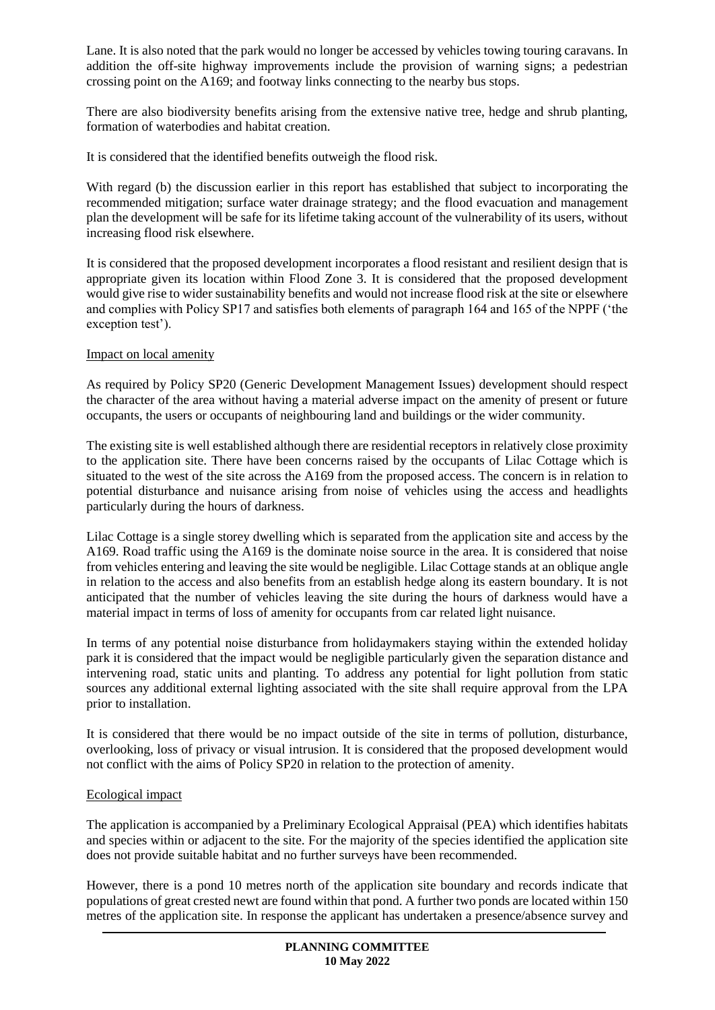Lane. It is also noted that the park would no longer be accessed by vehicles towing touring caravans. In addition the off-site highway improvements include the provision of warning signs; a pedestrian crossing point on the A169; and footway links connecting to the nearby bus stops.

There are also biodiversity benefits arising from the extensive native tree, hedge and shrub planting, formation of waterbodies and habitat creation.

It is considered that the identified benefits outweigh the flood risk.

With regard (b) the discussion earlier in this report has established that subject to incorporating the recommended mitigation; surface water drainage strategy; and the flood evacuation and management plan the development will be safe for its lifetime taking account of the vulnerability of its users, without increasing flood risk elsewhere.

It is considered that the proposed development incorporates a flood resistant and resilient design that is appropriate given its location within Flood Zone 3. It is considered that the proposed development would give rise to wider sustainability benefits and would not increase flood risk at the site or elsewhere and complies with Policy SP17 and satisfies both elements of paragraph 164 and 165 of the NPPF ('the exception test').

### Impact on local amenity

As required by Policy SP20 (Generic Development Management Issues) development should respect the character of the area without having a material adverse impact on the amenity of present or future occupants, the users or occupants of neighbouring land and buildings or the wider community.

The existing site is well established although there are residential receptors in relatively close proximity to the application site. There have been concerns raised by the occupants of Lilac Cottage which is situated to the west of the site across the A169 from the proposed access. The concern is in relation to potential disturbance and nuisance arising from noise of vehicles using the access and headlights particularly during the hours of darkness.

Lilac Cottage is a single storey dwelling which is separated from the application site and access by the A169. Road traffic using the A169 is the dominate noise source in the area. It is considered that noise from vehicles entering and leaving the site would be negligible. Lilac Cottage stands at an oblique angle in relation to the access and also benefits from an establish hedge along its eastern boundary. It is not anticipated that the number of vehicles leaving the site during the hours of darkness would have a material impact in terms of loss of amenity for occupants from car related light nuisance.

In terms of any potential noise disturbance from holidaymakers staying within the extended holiday park it is considered that the impact would be negligible particularly given the separation distance and intervening road, static units and planting. To address any potential for light pollution from static sources any additional external lighting associated with the site shall require approval from the LPA prior to installation.

It is considered that there would be no impact outside of the site in terms of pollution, disturbance, overlooking, loss of privacy or visual intrusion. It is considered that the proposed development would not conflict with the aims of Policy SP20 in relation to the protection of amenity.

### Ecological impact

The application is accompanied by a Preliminary Ecological Appraisal (PEA) which identifies habitats and species within or adjacent to the site. For the majority of the species identified the application site does not provide suitable habitat and no further surveys have been recommended.

However, there is a pond 10 metres north of the application site boundary and records indicate that populations of great crested newt are found within that pond. A further two ponds are located within 150 metres of the application site. In response the applicant has undertaken a presence/absence survey and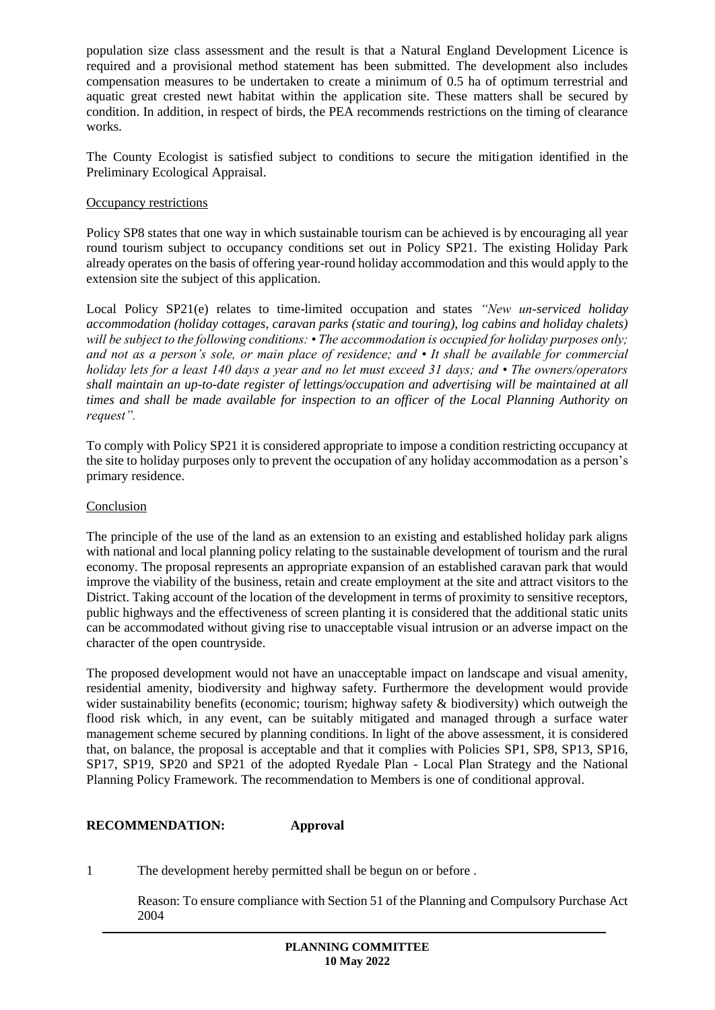population size class assessment and the result is that a Natural England Development Licence is required and a provisional method statement has been submitted. The development also includes compensation measures to be undertaken to create a minimum of 0.5 ha of optimum terrestrial and aquatic great crested newt habitat within the application site. These matters shall be secured by condition. In addition, in respect of birds, the PEA recommends restrictions on the timing of clearance works.

The County Ecologist is satisfied subject to conditions to secure the mitigation identified in the Preliminary Ecological Appraisal.

### Occupancy restrictions

Policy SP8 states that one way in which sustainable tourism can be achieved is by encouraging all year round tourism subject to occupancy conditions set out in Policy SP21. The existing Holiday Park already operates on the basis of offering year-round holiday accommodation and this would apply to the extension site the subject of this application.

Local Policy SP21(e) relates to time-limited occupation and states *"New un-serviced holiday accommodation (holiday cottages, caravan parks (static and touring), log cabins and holiday chalets) will be subject to the following conditions: • The accommodation is occupied for holiday purposes only; and not as a person's sole, or main place of residence; and • It shall be available for commercial holiday lets for a least 140 days a year and no let must exceed 31 days; and • The owners/operators shall maintain an up-to-date register of lettings/occupation and advertising will be maintained at all times and shall be made available for inspection to an officer of the Local Planning Authority on request".*

To comply with Policy SP21 it is considered appropriate to impose a condition restricting occupancy at the site to holiday purposes only to prevent the occupation of any holiday accommodation as a person's primary residence.

### **Conclusion**

The principle of the use of the land as an extension to an existing and established holiday park aligns with national and local planning policy relating to the sustainable development of tourism and the rural economy. The proposal represents an appropriate expansion of an established caravan park that would improve the viability of the business, retain and create employment at the site and attract visitors to the District. Taking account of the location of the development in terms of proximity to sensitive receptors, public highways and the effectiveness of screen planting it is considered that the additional static units can be accommodated without giving rise to unacceptable visual intrusion or an adverse impact on the character of the open countryside.

The proposed development would not have an unacceptable impact on landscape and visual amenity, residential amenity, biodiversity and highway safety. Furthermore the development would provide wider sustainability benefits (economic; tourism; highway safety & biodiversity) which outweigh the flood risk which, in any event, can be suitably mitigated and managed through a surface water management scheme secured by planning conditions. In light of the above assessment, it is considered that, on balance, the proposal is acceptable and that it complies with Policies SP1, SP8, SP13, SP16, SP17, SP19, SP20 and SP21 of the adopted Ryedale Plan - Local Plan Strategy and the National Planning Policy Framework. The recommendation to Members is one of conditional approval.

## **RECOMMENDATION: Approval**

1 The development hereby permitted shall be begun on or before .

Reason: To ensure compliance with Section 51 of the Planning and Compulsory Purchase Act 2004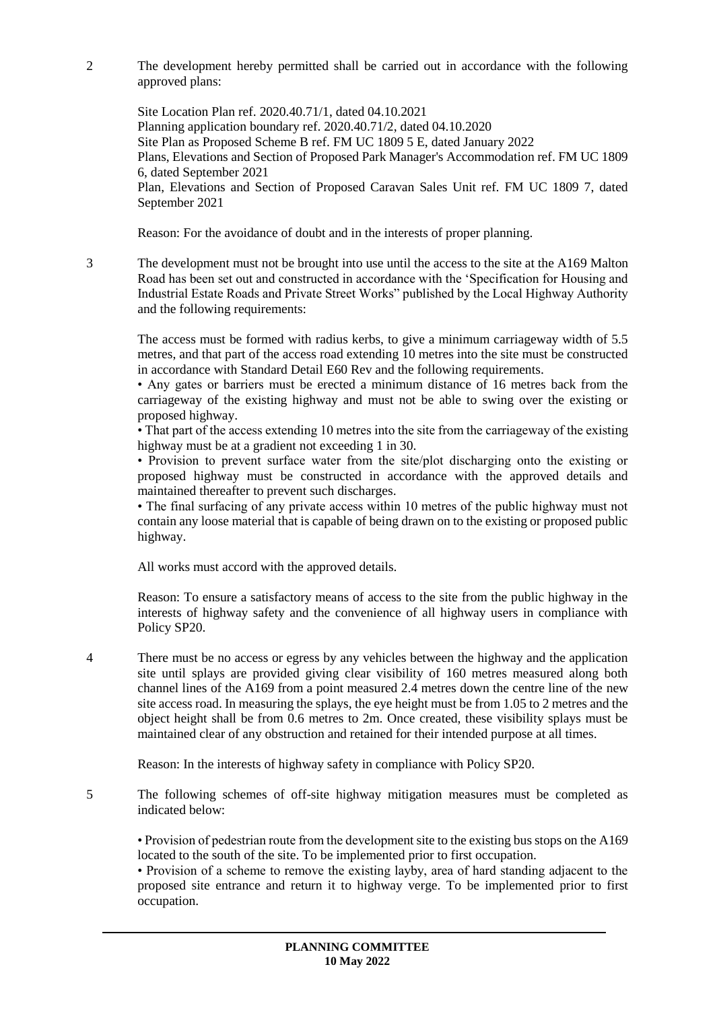2 The development hereby permitted shall be carried out in accordance with the following approved plans:

Site Location Plan ref. 2020.40.71/1, dated 04.10.2021 Planning application boundary ref. 2020.40.71/2, dated 04.10.2020 Site Plan as Proposed Scheme B ref. FM UC 1809 5 E, dated January 2022 Plans, Elevations and Section of Proposed Park Manager's Accommodation ref. FM UC 1809 6, dated September 2021 Plan, Elevations and Section of Proposed Caravan Sales Unit ref. FM UC 1809 7, dated September 2021

Reason: For the avoidance of doubt and in the interests of proper planning.

3 The development must not be brought into use until the access to the site at the A169 Malton Road has been set out and constructed in accordance with the 'Specification for Housing and Industrial Estate Roads and Private Street Works" published by the Local Highway Authority and the following requirements:

The access must be formed with radius kerbs, to give a minimum carriageway width of 5.5 metres, and that part of the access road extending 10 metres into the site must be constructed in accordance with Standard Detail E60 Rev and the following requirements.

• Any gates or barriers must be erected a minimum distance of 16 metres back from the carriageway of the existing highway and must not be able to swing over the existing or proposed highway.

• That part of the access extending 10 metres into the site from the carriageway of the existing highway must be at a gradient not exceeding 1 in 30.

• Provision to prevent surface water from the site/plot discharging onto the existing or proposed highway must be constructed in accordance with the approved details and maintained thereafter to prevent such discharges.

• The final surfacing of any private access within 10 metres of the public highway must not contain any loose material that is capable of being drawn on to the existing or proposed public highway.

All works must accord with the approved details.

Reason: To ensure a satisfactory means of access to the site from the public highway in the interests of highway safety and the convenience of all highway users in compliance with Policy SP20.

4 There must be no access or egress by any vehicles between the highway and the application site until splays are provided giving clear visibility of 160 metres measured along both channel lines of the A169 from a point measured 2.4 metres down the centre line of the new site access road. In measuring the splays, the eye height must be from 1.05 to 2 metres and the object height shall be from 0.6 metres to 2m. Once created, these visibility splays must be maintained clear of any obstruction and retained for their intended purpose at all times.

Reason: In the interests of highway safety in compliance with Policy SP20.

5 The following schemes of off-site highway mitigation measures must be completed as indicated below:

• Provision of pedestrian route from the development site to the existing bus stops on the A169 located to the south of the site. To be implemented prior to first occupation.

• Provision of a scheme to remove the existing layby, area of hard standing adjacent to the proposed site entrance and return it to highway verge. To be implemented prior to first occupation.

> **PLANNING COMMITTEE 10 May 2022**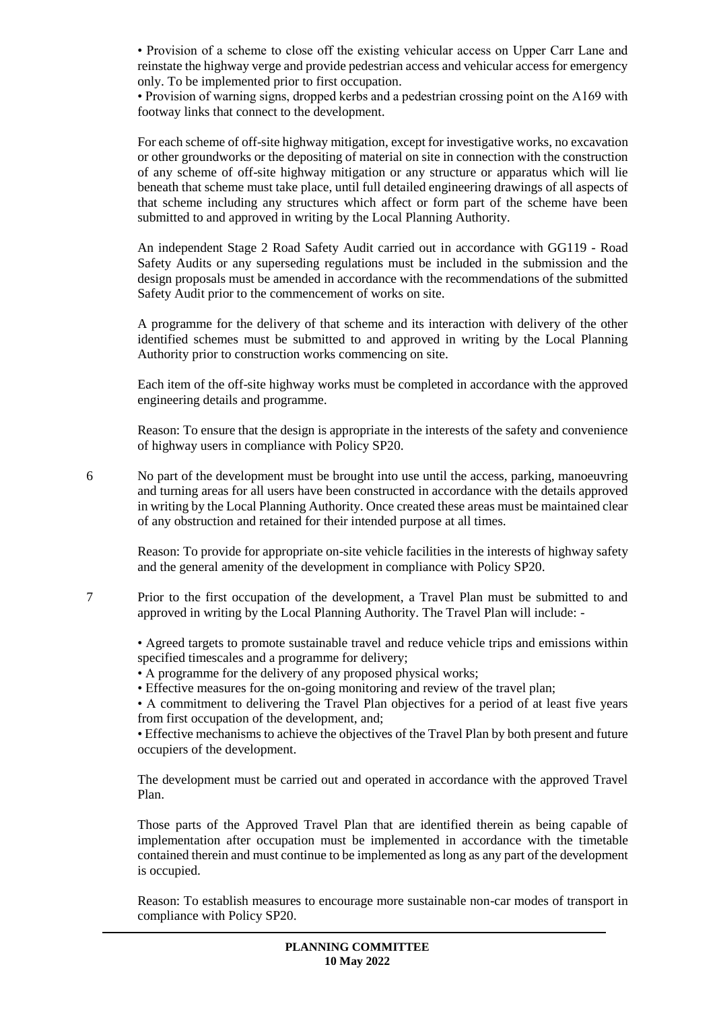• Provision of a scheme to close off the existing vehicular access on Upper Carr Lane and reinstate the highway verge and provide pedestrian access and vehicular access for emergency only. To be implemented prior to first occupation.

• Provision of warning signs, dropped kerbs and a pedestrian crossing point on the A169 with footway links that connect to the development.

For each scheme of off-site highway mitigation, except for investigative works, no excavation or other groundworks or the depositing of material on site in connection with the construction of any scheme of off-site highway mitigation or any structure or apparatus which will lie beneath that scheme must take place, until full detailed engineering drawings of all aspects of that scheme including any structures which affect or form part of the scheme have been submitted to and approved in writing by the Local Planning Authority.

An independent Stage 2 Road Safety Audit carried out in accordance with GG119 - Road Safety Audits or any superseding regulations must be included in the submission and the design proposals must be amended in accordance with the recommendations of the submitted Safety Audit prior to the commencement of works on site.

A programme for the delivery of that scheme and its interaction with delivery of the other identified schemes must be submitted to and approved in writing by the Local Planning Authority prior to construction works commencing on site.

Each item of the off-site highway works must be completed in accordance with the approved engineering details and programme.

Reason: To ensure that the design is appropriate in the interests of the safety and convenience of highway users in compliance with Policy SP20.

6 No part of the development must be brought into use until the access, parking, manoeuvring and turning areas for all users have been constructed in accordance with the details approved in writing by the Local Planning Authority. Once created these areas must be maintained clear of any obstruction and retained for their intended purpose at all times.

Reason: To provide for appropriate on-site vehicle facilities in the interests of highway safety and the general amenity of the development in compliance with Policy SP20.

7 Prior to the first occupation of the development, a Travel Plan must be submitted to and approved in writing by the Local Planning Authority. The Travel Plan will include: -

• Agreed targets to promote sustainable travel and reduce vehicle trips and emissions within specified timescales and a programme for delivery;

- A programme for the delivery of any proposed physical works;
- Effective measures for the on-going monitoring and review of the travel plan;

• A commitment to delivering the Travel Plan objectives for a period of at least five years from first occupation of the development, and;

• Effective mechanisms to achieve the objectives of the Travel Plan by both present and future occupiers of the development.

The development must be carried out and operated in accordance with the approved Travel Plan.

Those parts of the Approved Travel Plan that are identified therein as being capable of implementation after occupation must be implemented in accordance with the timetable contained therein and must continue to be implemented as long as any part of the development is occupied.

Reason: To establish measures to encourage more sustainable non-car modes of transport in compliance with Policy SP20.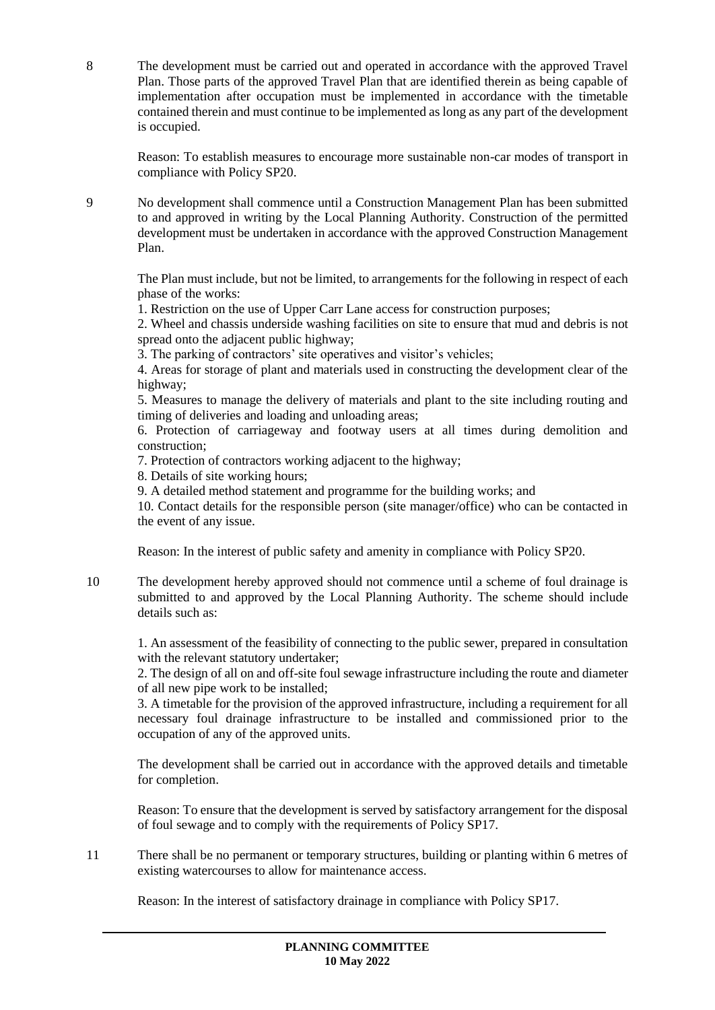8 The development must be carried out and operated in accordance with the approved Travel Plan. Those parts of the approved Travel Plan that are identified therein as being capable of implementation after occupation must be implemented in accordance with the timetable contained therein and must continue to be implemented as long as any part of the development is occupied.

Reason: To establish measures to encourage more sustainable non-car modes of transport in compliance with Policy SP20.

9 No development shall commence until a Construction Management Plan has been submitted to and approved in writing by the Local Planning Authority. Construction of the permitted development must be undertaken in accordance with the approved Construction Management Plan.

The Plan must include, but not be limited, to arrangements for the following in respect of each phase of the works:

1. Restriction on the use of Upper Carr Lane access for construction purposes;

2. Wheel and chassis underside washing facilities on site to ensure that mud and debris is not spread onto the adjacent public highway;

3. The parking of contractors' site operatives and visitor's vehicles;

4. Areas for storage of plant and materials used in constructing the development clear of the highway;

5. Measures to manage the delivery of materials and plant to the site including routing and timing of deliveries and loading and unloading areas;

6. Protection of carriageway and footway users at all times during demolition and construction;

7. Protection of contractors working adjacent to the highway;

8. Details of site working hours;

9. A detailed method statement and programme for the building works; and

10. Contact details for the responsible person (site manager/office) who can be contacted in the event of any issue.

Reason: In the interest of public safety and amenity in compliance with Policy SP20.

10 The development hereby approved should not commence until a scheme of foul drainage is submitted to and approved by the Local Planning Authority. The scheme should include details such as:

1. An assessment of the feasibility of connecting to the public sewer, prepared in consultation with the relevant statutory undertaker;

2. The design of all on and off-site foul sewage infrastructure including the route and diameter of all new pipe work to be installed;

3. A timetable for the provision of the approved infrastructure, including a requirement for all necessary foul drainage infrastructure to be installed and commissioned prior to the occupation of any of the approved units.

The development shall be carried out in accordance with the approved details and timetable for completion.

Reason: To ensure that the development is served by satisfactory arrangement for the disposal of foul sewage and to comply with the requirements of Policy SP17.

11 There shall be no permanent or temporary structures, building or planting within 6 metres of existing watercourses to allow for maintenance access.

Reason: In the interest of satisfactory drainage in compliance with Policy SP17.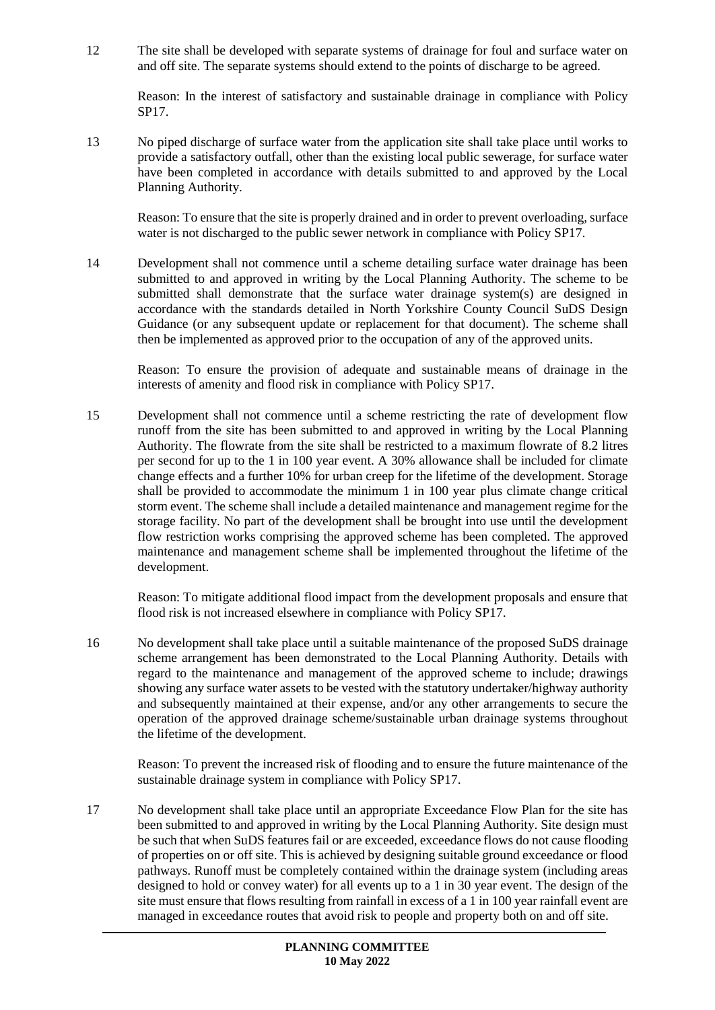12 The site shall be developed with separate systems of drainage for foul and surface water on and off site. The separate systems should extend to the points of discharge to be agreed.

Reason: In the interest of satisfactory and sustainable drainage in compliance with Policy SP17.

13 No piped discharge of surface water from the application site shall take place until works to provide a satisfactory outfall, other than the existing local public sewerage, for surface water have been completed in accordance with details submitted to and approved by the Local Planning Authority.

Reason: To ensure that the site is properly drained and in order to prevent overloading, surface water is not discharged to the public sewer network in compliance with Policy SP17.

14 Development shall not commence until a scheme detailing surface water drainage has been submitted to and approved in writing by the Local Planning Authority. The scheme to be submitted shall demonstrate that the surface water drainage system(s) are designed in accordance with the standards detailed in North Yorkshire County Council SuDS Design Guidance (or any subsequent update or replacement for that document). The scheme shall then be implemented as approved prior to the occupation of any of the approved units.

Reason: To ensure the provision of adequate and sustainable means of drainage in the interests of amenity and flood risk in compliance with Policy SP17.

15 Development shall not commence until a scheme restricting the rate of development flow runoff from the site has been submitted to and approved in writing by the Local Planning Authority. The flowrate from the site shall be restricted to a maximum flowrate of 8.2 litres per second for up to the 1 in 100 year event. A 30% allowance shall be included for climate change effects and a further 10% for urban creep for the lifetime of the development. Storage shall be provided to accommodate the minimum 1 in 100 year plus climate change critical storm event. The scheme shall include a detailed maintenance and management regime for the storage facility. No part of the development shall be brought into use until the development flow restriction works comprising the approved scheme has been completed. The approved maintenance and management scheme shall be implemented throughout the lifetime of the development.

Reason: To mitigate additional flood impact from the development proposals and ensure that flood risk is not increased elsewhere in compliance with Policy SP17.

16 No development shall take place until a suitable maintenance of the proposed SuDS drainage scheme arrangement has been demonstrated to the Local Planning Authority. Details with regard to the maintenance and management of the approved scheme to include; drawings showing any surface water assets to be vested with the statutory undertaker/highway authority and subsequently maintained at their expense, and/or any other arrangements to secure the operation of the approved drainage scheme/sustainable urban drainage systems throughout the lifetime of the development.

Reason: To prevent the increased risk of flooding and to ensure the future maintenance of the sustainable drainage system in compliance with Policy SP17.

17 No development shall take place until an appropriate Exceedance Flow Plan for the site has been submitted to and approved in writing by the Local Planning Authority. Site design must be such that when SuDS features fail or are exceeded, exceedance flows do not cause flooding of properties on or off site. This is achieved by designing suitable ground exceedance or flood pathways. Runoff must be completely contained within the drainage system (including areas designed to hold or convey water) for all events up to a 1 in 30 year event. The design of the site must ensure that flows resulting from rainfall in excess of a 1 in 100 year rainfall event are managed in exceedance routes that avoid risk to people and property both on and off site.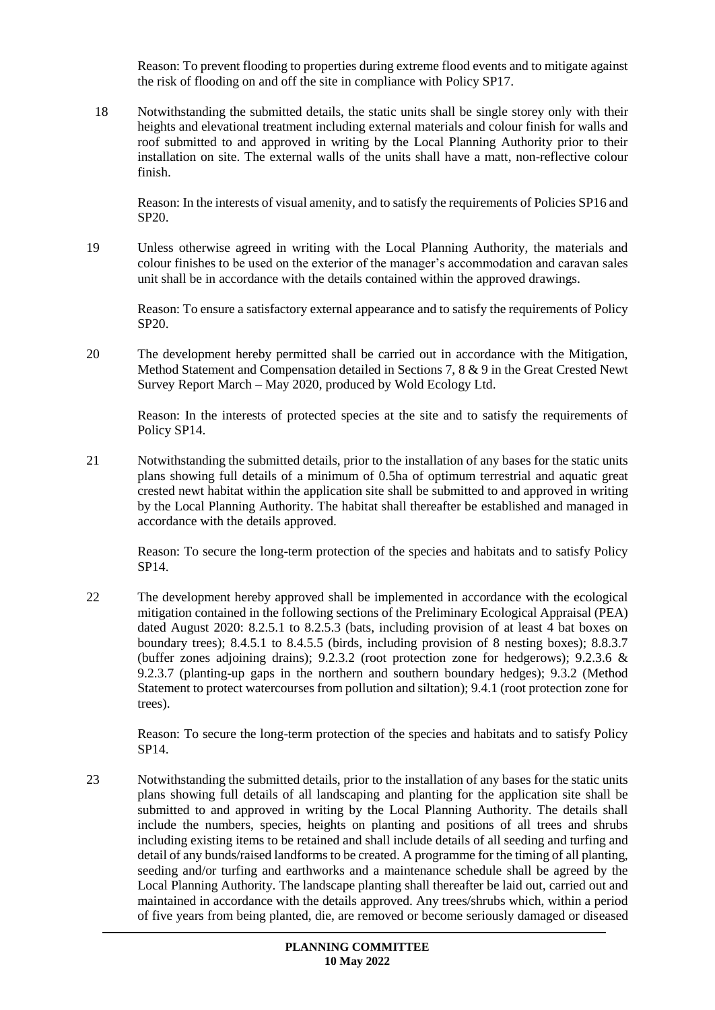Reason: To prevent flooding to properties during extreme flood events and to mitigate against the risk of flooding on and off the site in compliance with Policy SP17.

18 Notwithstanding the submitted details, the static units shall be single storey only with their heights and elevational treatment including external materials and colour finish for walls and roof submitted to and approved in writing by the Local Planning Authority prior to their installation on site. The external walls of the units shall have a matt, non-reflective colour finish.

Reason: In the interests of visual amenity, and to satisfy the requirements of Policies SP16 and SP20.

19 Unless otherwise agreed in writing with the Local Planning Authority, the materials and colour finishes to be used on the exterior of the manager's accommodation and caravan sales unit shall be in accordance with the details contained within the approved drawings.

Reason: To ensure a satisfactory external appearance and to satisfy the requirements of Policy SP20.

20 The development hereby permitted shall be carried out in accordance with the Mitigation, Method Statement and Compensation detailed in Sections 7, 8 & 9 in the Great Crested Newt Survey Report March – May 2020, produced by Wold Ecology Ltd.

Reason: In the interests of protected species at the site and to satisfy the requirements of Policy SP14.

21 Notwithstanding the submitted details, prior to the installation of any bases for the static units plans showing full details of a minimum of 0.5ha of optimum terrestrial and aquatic great crested newt habitat within the application site shall be submitted to and approved in writing by the Local Planning Authority. The habitat shall thereafter be established and managed in accordance with the details approved.

Reason: To secure the long-term protection of the species and habitats and to satisfy Policy SP14.

22 The development hereby approved shall be implemented in accordance with the ecological mitigation contained in the following sections of the Preliminary Ecological Appraisal (PEA) dated August 2020: 8.2.5.1 to 8.2.5.3 (bats, including provision of at least 4 bat boxes on boundary trees); 8.4.5.1 to 8.4.5.5 (birds, including provision of 8 nesting boxes); 8.8.3.7 (buffer zones adjoining drains); 9.2.3.2 (root protection zone for hedgerows); 9.2.3.6 & 9.2.3.7 (planting-up gaps in the northern and southern boundary hedges); 9.3.2 (Method Statement to protect watercourses from pollution and siltation); 9.4.1 (root protection zone for trees).

Reason: To secure the long-term protection of the species and habitats and to satisfy Policy SP14.

23 Notwithstanding the submitted details, prior to the installation of any bases for the static units plans showing full details of all landscaping and planting for the application site shall be submitted to and approved in writing by the Local Planning Authority. The details shall include the numbers, species, heights on planting and positions of all trees and shrubs including existing items to be retained and shall include details of all seeding and turfing and detail of any bunds/raised landforms to be created. A programme for the timing of all planting, seeding and/or turfing and earthworks and a maintenance schedule shall be agreed by the Local Planning Authority. The landscape planting shall thereafter be laid out, carried out and maintained in accordance with the details approved. Any trees/shrubs which, within a period of five years from being planted, die, are removed or become seriously damaged or diseased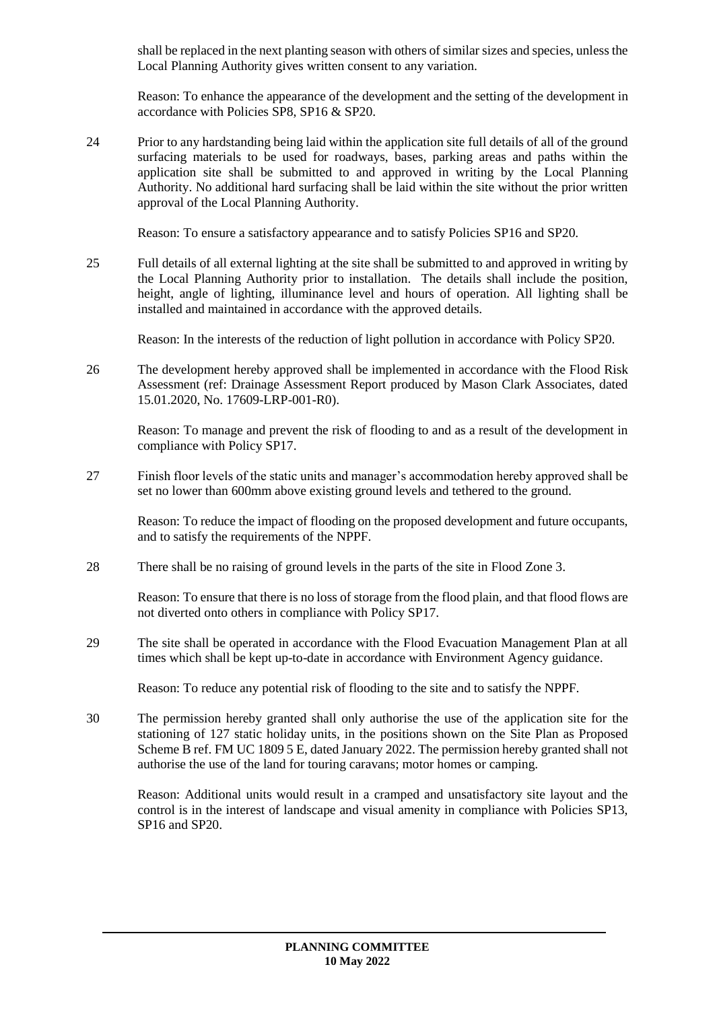shall be replaced in the next planting season with others of similar sizes and species, unless the Local Planning Authority gives written consent to any variation.

Reason: To enhance the appearance of the development and the setting of the development in accordance with Policies SP8, SP16 & SP20.

24 Prior to any hardstanding being laid within the application site full details of all of the ground surfacing materials to be used for roadways, bases, parking areas and paths within the application site shall be submitted to and approved in writing by the Local Planning Authority. No additional hard surfacing shall be laid within the site without the prior written approval of the Local Planning Authority.

Reason: To ensure a satisfactory appearance and to satisfy Policies SP16 and SP20.

25 Full details of all external lighting at the site shall be submitted to and approved in writing by the Local Planning Authority prior to installation. The details shall include the position, height, angle of lighting, illuminance level and hours of operation. All lighting shall be installed and maintained in accordance with the approved details.

Reason: In the interests of the reduction of light pollution in accordance with Policy SP20.

26 The development hereby approved shall be implemented in accordance with the Flood Risk Assessment (ref: Drainage Assessment Report produced by Mason Clark Associates, dated 15.01.2020, No. 17609-LRP-001-R0).

Reason: To manage and prevent the risk of flooding to and as a result of the development in compliance with Policy SP17.

27 Finish floor levels of the static units and manager's accommodation hereby approved shall be set no lower than 600mm above existing ground levels and tethered to the ground.

Reason: To reduce the impact of flooding on the proposed development and future occupants, and to satisfy the requirements of the NPPF.

28 There shall be no raising of ground levels in the parts of the site in Flood Zone 3.

Reason: To ensure that there is no loss of storage from the flood plain, and that flood flows are not diverted onto others in compliance with Policy SP17.

29 The site shall be operated in accordance with the Flood Evacuation Management Plan at all times which shall be kept up-to-date in accordance with Environment Agency guidance.

Reason: To reduce any potential risk of flooding to the site and to satisfy the NPPF.

30 The permission hereby granted shall only authorise the use of the application site for the stationing of 127 static holiday units, in the positions shown on the Site Plan as Proposed Scheme B ref. FM UC 1809 5 E, dated January 2022. The permission hereby granted shall not authorise the use of the land for touring caravans; motor homes or camping.

Reason: Additional units would result in a cramped and unsatisfactory site layout and the control is in the interest of landscape and visual amenity in compliance with Policies SP13, SP16 and SP20.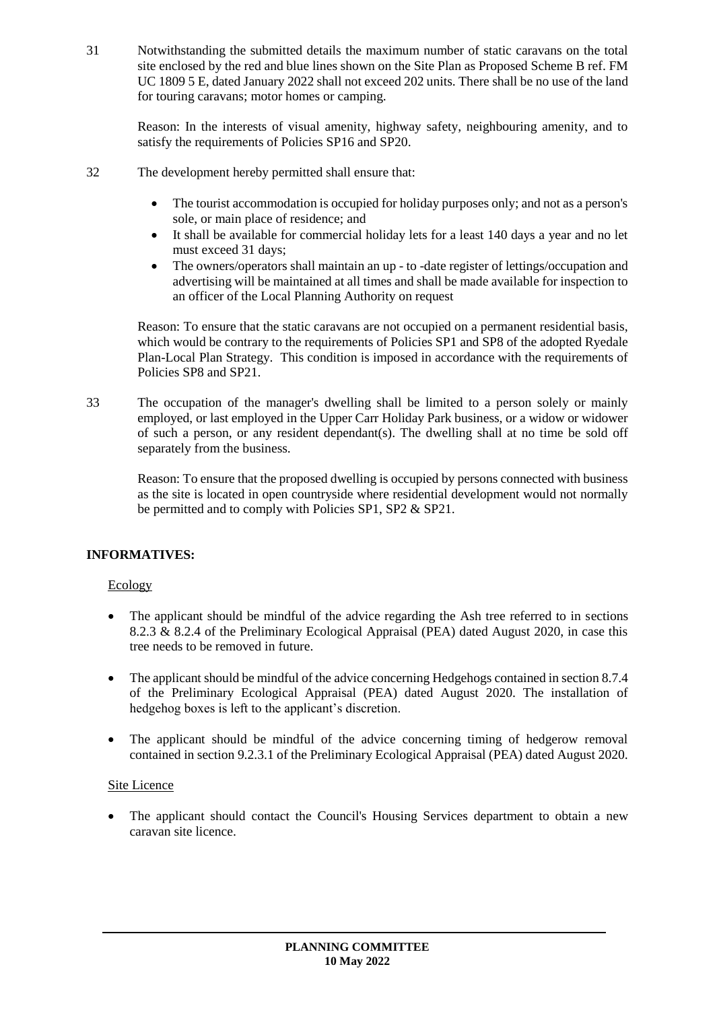31 Notwithstanding the submitted details the maximum number of static caravans on the total site enclosed by the red and blue lines shown on the Site Plan as Proposed Scheme B ref. FM UC 1809 5 E, dated January 2022 shall not exceed 202 units. There shall be no use of the land for touring caravans; motor homes or camping.

Reason: In the interests of visual amenity, highway safety, neighbouring amenity, and to satisfy the requirements of Policies SP16 and SP20.

- 32 The development hereby permitted shall ensure that:
	- The tourist accommodation is occupied for holiday purposes only; and not as a person's sole, or main place of residence; and
	- It shall be available for commercial holiday lets for a least 140 days a year and no let must exceed 31 days;
	- The owners/operators shall maintain an up to -date register of lettings/occupation and advertising will be maintained at all times and shall be made available for inspection to an officer of the Local Planning Authority on request

Reason: To ensure that the static caravans are not occupied on a permanent residential basis, which would be contrary to the requirements of Policies SP1 and SP8 of the adopted Ryedale Plan-Local Plan Strategy. This condition is imposed in accordance with the requirements of Policies SP8 and SP21.

33 The occupation of the manager's dwelling shall be limited to a person solely or mainly employed, or last employed in the Upper Carr Holiday Park business, or a widow or widower of such a person, or any resident dependant(s). The dwelling shall at no time be sold off separately from the business.

Reason: To ensure that the proposed dwelling is occupied by persons connected with business as the site is located in open countryside where residential development would not normally be permitted and to comply with Policies SP1, SP2 & SP21.

# **INFORMATIVES:**

## Ecology

- The applicant should be mindful of the advice regarding the Ash tree referred to in sections 8.2.3 & 8.2.4 of the Preliminary Ecological Appraisal (PEA) dated August 2020, in case this tree needs to be removed in future.
- The applicant should be mindful of the advice concerning Hedgehogs contained in section 8.7.4 of the Preliminary Ecological Appraisal (PEA) dated August 2020. The installation of hedgehog boxes is left to the applicant's discretion.
- The applicant should be mindful of the advice concerning timing of hedgerow removal contained in section 9.2.3.1 of the Preliminary Ecological Appraisal (PEA) dated August 2020.

## Site Licence

• The applicant should contact the Council's Housing Services department to obtain a new caravan site licence.